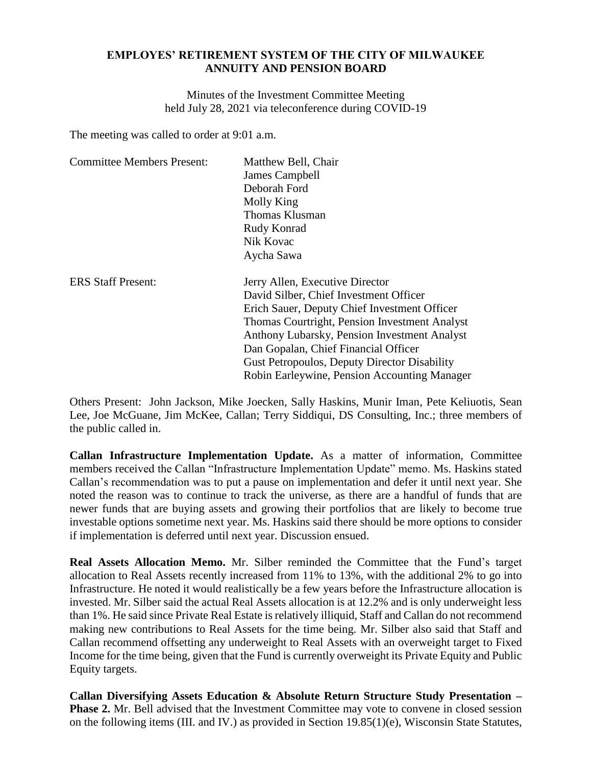## **EMPLOYES' RETIREMENT SYSTEM OF THE CITY OF MILWAUKEE ANNUITY AND PENSION BOARD**

Minutes of the Investment Committee Meeting held July 28, 2021 via teleconference during COVID-19

The meeting was called to order at 9:01 a.m.

| <b>Committee Members Present:</b> | Matthew Bell, Chair                                 |
|-----------------------------------|-----------------------------------------------------|
|                                   | James Campbell                                      |
|                                   | Deborah Ford                                        |
|                                   | Molly King                                          |
|                                   | Thomas Klusman                                      |
|                                   | Rudy Konrad                                         |
|                                   | Nik Kovac                                           |
|                                   | Aycha Sawa                                          |
| <b>ERS Staff Present:</b>         | Jerry Allen, Executive Director                     |
|                                   | David Silber, Chief Investment Officer              |
|                                   | Erich Sauer, Deputy Chief Investment Officer        |
|                                   | Thomas Courtright, Pension Investment Analyst       |
|                                   | Anthony Lubarsky, Pension Investment Analyst        |
|                                   | Dan Gopalan, Chief Financial Officer                |
|                                   | <b>Gust Petropoulos, Deputy Director Disability</b> |
|                                   | Robin Earleywine, Pension Accounting Manager        |

Others Present: John Jackson, Mike Joecken, Sally Haskins, Munir Iman, Pete Keliuotis, Sean Lee, Joe McGuane, Jim McKee, Callan; Terry Siddiqui, DS Consulting, Inc.; three members of the public called in.

**Callan Infrastructure Implementation Update.** As a matter of information, Committee members received the Callan "Infrastructure Implementation Update" memo. Ms. Haskins stated Callan's recommendation was to put a pause on implementation and defer it until next year. She noted the reason was to continue to track the universe, as there are a handful of funds that are newer funds that are buying assets and growing their portfolios that are likely to become true investable options sometime next year. Ms. Haskins said there should be more options to consider if implementation is deferred until next year. Discussion ensued.

**Real Assets Allocation Memo.** Mr. Silber reminded the Committee that the Fund's target allocation to Real Assets recently increased from 11% to 13%, with the additional 2% to go into Infrastructure. He noted it would realistically be a few years before the Infrastructure allocation is invested. Mr. Silber said the actual Real Assets allocation is at 12.2% and is only underweight less than 1%. He said since Private Real Estate is relatively illiquid, Staff and Callan do not recommend making new contributions to Real Assets for the time being. Mr. Silber also said that Staff and Callan recommend offsetting any underweight to Real Assets with an overweight target to Fixed Income for the time being, given that the Fund is currently overweight its Private Equity and Public Equity targets.

**Callan Diversifying Assets Education & Absolute Return Structure Study Presentation – Phase 2.** Mr. Bell advised that the Investment Committee may vote to convene in closed session on the following items (III. and IV.) as provided in Section 19.85(1)(e), Wisconsin State Statutes,